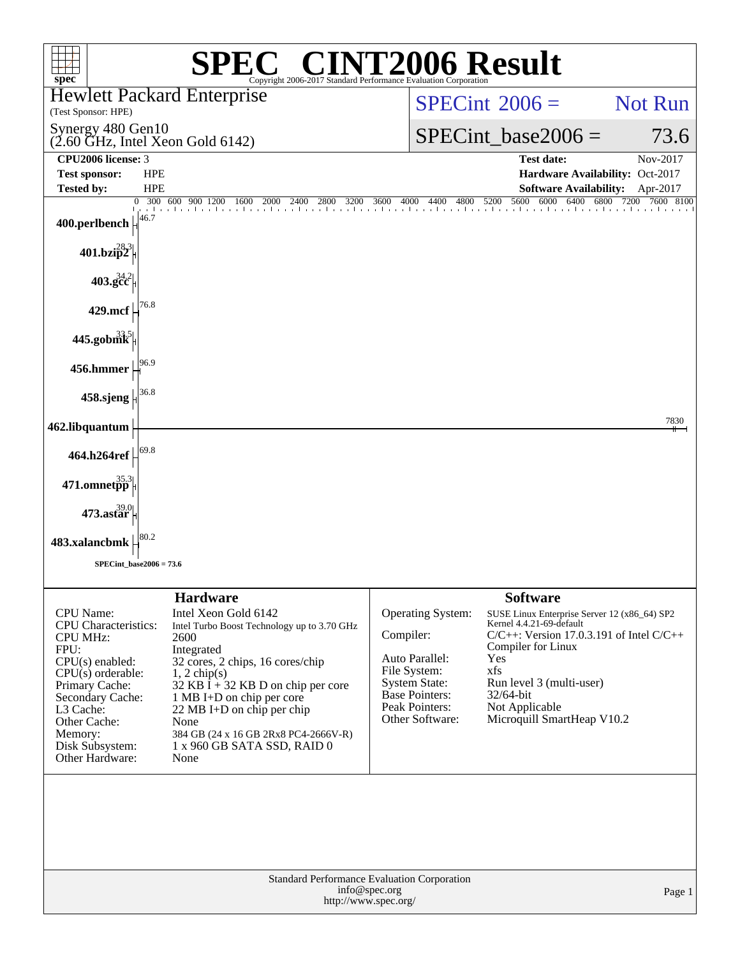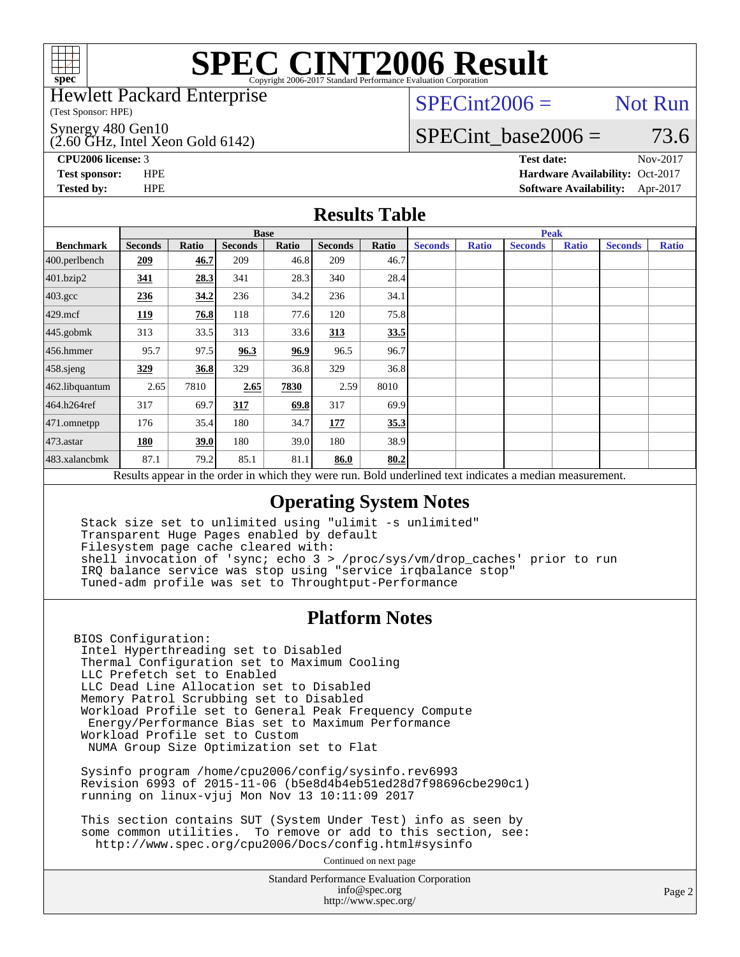

Hewlett Packard Enterprise

(Test Sponsor: HPE)

 $(2.60 \text{ GHz}, \text{Intel Xeon Gold } 6142)$ Synergy 480 Gen10

 $SPECint2006 =$  Not Run

# SPECint base2006 =  $73.6$

**[CPU2006 license:](http://www.spec.org/auto/cpu2006/Docs/result-fields.html#CPU2006license)** 3 **[Test date:](http://www.spec.org/auto/cpu2006/Docs/result-fields.html#Testdate)** Nov-2017 **[Test sponsor:](http://www.spec.org/auto/cpu2006/Docs/result-fields.html#Testsponsor)** HPE **[Hardware Availability:](http://www.spec.org/auto/cpu2006/Docs/result-fields.html#HardwareAvailability)** Oct-2017 **[Tested by:](http://www.spec.org/auto/cpu2006/Docs/result-fields.html#Testedby)** HPE **[Software Availability:](http://www.spec.org/auto/cpu2006/Docs/result-fields.html#SoftwareAvailability)** Apr-2017

### **[Results Table](http://www.spec.org/auto/cpu2006/Docs/result-fields.html#ResultsTable)**

|                                                                                                          | <b>Base</b>    |       |                |       |                |       | <b>Peak</b>    |              |                |              |                |              |
|----------------------------------------------------------------------------------------------------------|----------------|-------|----------------|-------|----------------|-------|----------------|--------------|----------------|--------------|----------------|--------------|
| <b>Benchmark</b>                                                                                         | <b>Seconds</b> | Ratio | <b>Seconds</b> | Ratio | <b>Seconds</b> | Ratio | <b>Seconds</b> | <b>Ratio</b> | <b>Seconds</b> | <b>Ratio</b> | <b>Seconds</b> | <b>Ratio</b> |
| $400.$ perlbench                                                                                         | 209            | 46.7  | 209            | 46.8  | 209            | 46.7  |                |              |                |              |                |              |
| 401.bzip2                                                                                                | 341            | 28.3  | 341            | 28.3  | 340            | 28.4  |                |              |                |              |                |              |
| $403.\mathrm{gcc}$                                                                                       | 236            | 34.2  | 236            | 34.2  | 236            | 34.1  |                |              |                |              |                |              |
| $429$ .mcf                                                                                               | 119            | 76.8  | 118            | 77.6  | 120            | 75.8  |                |              |                |              |                |              |
| $445$ .gobmk                                                                                             | 313            | 33.5  | 313            | 33.6  | 313            | 33.5  |                |              |                |              |                |              |
| $456.$ hmmer                                                                                             | 95.7           | 97.5  | 96.3           | 96.9  | 96.5           | 96.7  |                |              |                |              |                |              |
| $458$ .sjeng                                                                                             | 329            | 36.8  | 329            | 36.8  | 329            | 36.8  |                |              |                |              |                |              |
| 462.libquantum                                                                                           | 2.65           | 7810  | 2.65           | 7830  | 2.59           | 8010  |                |              |                |              |                |              |
| 464.h264ref                                                                                              | 317            | 69.7  | 317            | 69.8  | 317            | 69.9  |                |              |                |              |                |              |
| 471.omnetpp                                                                                              | 176            | 35.4  | 180            | 34.7  | 177            | 35.3  |                |              |                |              |                |              |
| $473$ . astar                                                                                            | 180            | 39.0  | 180            | 39.0  | 180            | 38.9  |                |              |                |              |                |              |
| 483.xalancbmk                                                                                            | 87.1           | 79.2  | 85.1           | 81.1  | 86.0           | 80.2  |                |              |                |              |                |              |
| Results appear in the order in which they were run. Bold underlined text indicates a median measurement. |                |       |                |       |                |       |                |              |                |              |                |              |

## **[Operating System Notes](http://www.spec.org/auto/cpu2006/Docs/result-fields.html#OperatingSystemNotes)**

 Stack size set to unlimited using "ulimit -s unlimited" Transparent Huge Pages enabled by default Filesystem page cache cleared with: shell invocation of 'sync; echo 3 > /proc/sys/vm/drop\_caches' prior to run IRQ balance service was stop using "service irqbalance stop" Tuned-adm profile was set to Throughtput-Performance

### **[Platform Notes](http://www.spec.org/auto/cpu2006/Docs/result-fields.html#PlatformNotes)**

BIOS Configuration: Intel Hyperthreading set to Disabled Thermal Configuration set to Maximum Cooling LLC Prefetch set to Enabled LLC Dead Line Allocation set to Disabled Memory Patrol Scrubbing set to Disabled Workload Profile set to General Peak Frequency Compute Energy/Performance Bias set to Maximum Performance Workload Profile set to Custom NUMA Group Size Optimization set to Flat

 Sysinfo program /home/cpu2006/config/sysinfo.rev6993 Revision 6993 of 2015-11-06 (b5e8d4b4eb51ed28d7f98696cbe290c1) running on linux-vjuj Mon Nov 13 10:11:09 2017

 This section contains SUT (System Under Test) info as seen by some common utilities. To remove or add to this section, see: <http://www.spec.org/cpu2006/Docs/config.html#sysinfo>

Continued on next page

Standard Performance Evaluation Corporation [info@spec.org](mailto:info@spec.org) <http://www.spec.org/>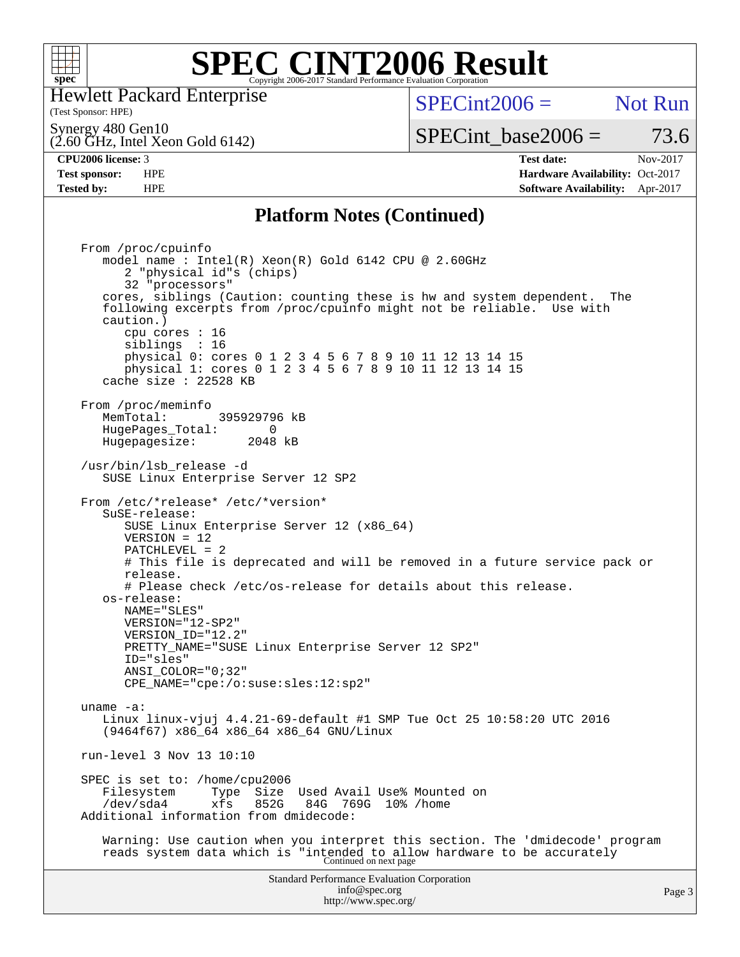

Hewlett Packard Enterprise

(Test Sponsor: HPE)

 $SPECint2006 =$  Not Run

Synergy 480 Gen10

(2.60 GHz, Intel Xeon Gold 6142)

**[Tested by:](http://www.spec.org/auto/cpu2006/Docs/result-fields.html#Testedby)** HPE **[Software Availability:](http://www.spec.org/auto/cpu2006/Docs/result-fields.html#SoftwareAvailability)** Apr-2017

SPECint base2006 =  $73.6$ **[CPU2006 license:](http://www.spec.org/auto/cpu2006/Docs/result-fields.html#CPU2006license)** 3 **[Test date:](http://www.spec.org/auto/cpu2006/Docs/result-fields.html#Testdate)** Nov-2017 **[Test sponsor:](http://www.spec.org/auto/cpu2006/Docs/result-fields.html#Testsponsor)** HPE **[Hardware Availability:](http://www.spec.org/auto/cpu2006/Docs/result-fields.html#HardwareAvailability)** Oct-2017

### **[Platform Notes \(Continued\)](http://www.spec.org/auto/cpu2006/Docs/result-fields.html#PlatformNotes)**

Standard Performance Evaluation Corporation [info@spec.org](mailto:info@spec.org) <http://www.spec.org/> From /proc/cpuinfo model name : Intel(R) Xeon(R) Gold 6142 CPU @ 2.60GHz 2 "physical id"s (chips) 32 "processors" cores, siblings (Caution: counting these is hw and system dependent. The following excerpts from /proc/cpuinfo might not be reliable. Use with caution.) cpu cores : 16 siblings : 16 physical 0: cores 0 1 2 3 4 5 6 7 8 9 10 11 12 13 14 15 physical 1: cores 0 1 2 3 4 5 6 7 8 9 10 11 12 13 14 15 cache size : 22528 KB From /proc/meminfo MemTotal: 395929796 kB<br>HugePages Total: 0 HugePages\_Total: 0 Hugepagesize: 2048 kB /usr/bin/lsb\_release -d SUSE Linux Enterprise Server 12 SP2 From /etc/\*release\* /etc/\*version\* SuSE-release: SUSE Linux Enterprise Server 12 (x86\_64) VERSION = 12 PATCHLEVEL = 2 # This file is deprecated and will be removed in a future service pack or release. # Please check /etc/os-release for details about this release. os-release: NAME="SLES" VERSION="12-SP2" VERSION\_ID="12.2" PRETTY\_NAME="SUSE Linux Enterprise Server 12 SP2" ID="sles" ANSI\_COLOR="0;32" CPE\_NAME="cpe:/o:suse:sles:12:sp2" uname -a: Linux linux-vjuj 4.4.21-69-default #1 SMP Tue Oct 25 10:58:20 UTC 2016 (9464f67) x86\_64 x86\_64 x86\_64 GNU/Linux run-level 3 Nov 13 10:10 SPEC is set to: /home/cpu2006<br>Filesystem Type Size Type Size Used Avail Use% Mounted on<br>xfs 852G 84G 769G 10% /home /dev/sda4 xfs 852G 84G 769G 10% /home Additional information from dmidecode: Warning: Use caution when you interpret this section. The 'dmidecode' program reads system data which is "intended to allow hardware to be accurately Continued on next page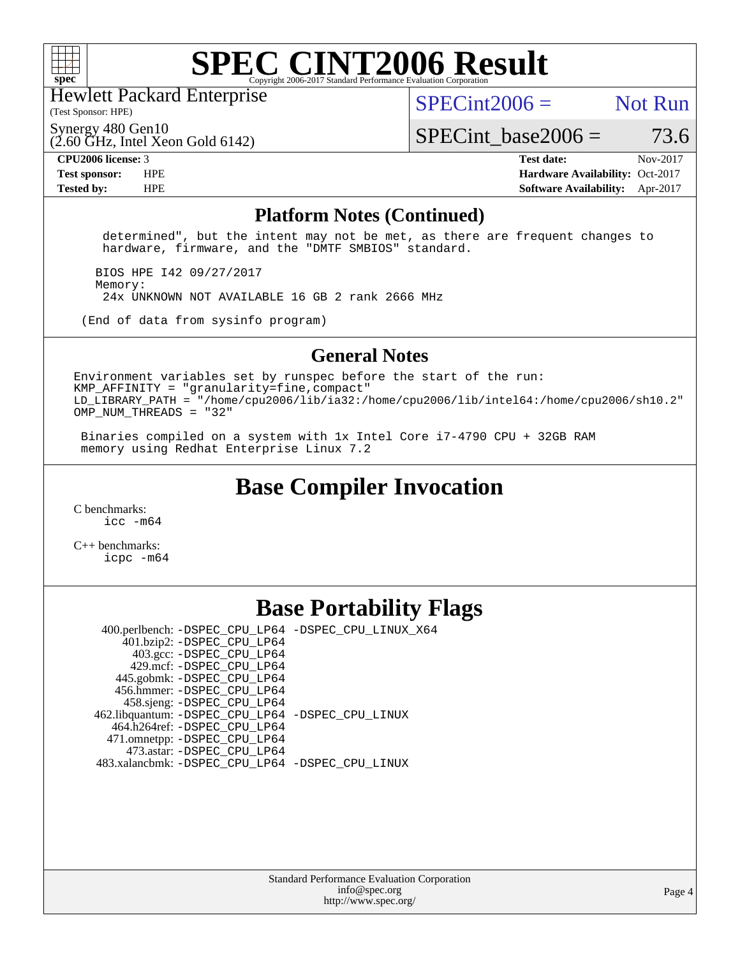

Hewlett Packard Enterprise

(Test Sponsor: HPE)

 $SPECint2006 =$  Not Run

SPECint base2006 =  $73.6$ 

(2.60 GHz, Intel Xeon Gold 6142) Synergy 480 Gen10

**[CPU2006 license:](http://www.spec.org/auto/cpu2006/Docs/result-fields.html#CPU2006license)** 3 **[Test date:](http://www.spec.org/auto/cpu2006/Docs/result-fields.html#Testdate)** Nov-2017 **[Test sponsor:](http://www.spec.org/auto/cpu2006/Docs/result-fields.html#Testsponsor)** HPE **[Hardware Availability:](http://www.spec.org/auto/cpu2006/Docs/result-fields.html#HardwareAvailability)** Oct-2017 **[Tested by:](http://www.spec.org/auto/cpu2006/Docs/result-fields.html#Testedby)** HPE **[Software Availability:](http://www.spec.org/auto/cpu2006/Docs/result-fields.html#SoftwareAvailability)** Apr-2017

### **[Platform Notes \(Continued\)](http://www.spec.org/auto/cpu2006/Docs/result-fields.html#PlatformNotes)**

 determined", but the intent may not be met, as there are frequent changes to hardware, firmware, and the "DMTF SMBIOS" standard.

 BIOS HPE I42 09/27/2017 Memory: 24x UNKNOWN NOT AVAILABLE 16 GB 2 rank 2666 MHz

(End of data from sysinfo program)

### **[General Notes](http://www.spec.org/auto/cpu2006/Docs/result-fields.html#GeneralNotes)**

Environment variables set by runspec before the start of the run:  $KMP$  AFFINITY = "granularity=fine, compact" LD\_LIBRARY\_PATH = "/home/cpu2006/lib/ia32:/home/cpu2006/lib/intel64:/home/cpu2006/sh10.2" OMP\_NUM\_THREADS = "32"

 Binaries compiled on a system with 1x Intel Core i7-4790 CPU + 32GB RAM memory using Redhat Enterprise Linux 7.2

## **[Base Compiler Invocation](http://www.spec.org/auto/cpu2006/Docs/result-fields.html#BaseCompilerInvocation)**

[C benchmarks](http://www.spec.org/auto/cpu2006/Docs/result-fields.html#Cbenchmarks): [icc -m64](http://www.spec.org/cpu2006/results/res2017q4/cpu2006-20171114-50605.flags.html#user_CCbase_intel_icc_64bit_bda6cc9af1fdbb0edc3795bac97ada53)

[C++ benchmarks:](http://www.spec.org/auto/cpu2006/Docs/result-fields.html#CXXbenchmarks) [icpc -m64](http://www.spec.org/cpu2006/results/res2017q4/cpu2006-20171114-50605.flags.html#user_CXXbase_intel_icpc_64bit_fc66a5337ce925472a5c54ad6a0de310)

## **[Base Portability Flags](http://www.spec.org/auto/cpu2006/Docs/result-fields.html#BasePortabilityFlags)**

 400.perlbench: [-DSPEC\\_CPU\\_LP64](http://www.spec.org/cpu2006/results/res2017q4/cpu2006-20171114-50605.flags.html#b400.perlbench_basePORTABILITY_DSPEC_CPU_LP64) [-DSPEC\\_CPU\\_LINUX\\_X64](http://www.spec.org/cpu2006/results/res2017q4/cpu2006-20171114-50605.flags.html#b400.perlbench_baseCPORTABILITY_DSPEC_CPU_LINUX_X64) 401.bzip2: [-DSPEC\\_CPU\\_LP64](http://www.spec.org/cpu2006/results/res2017q4/cpu2006-20171114-50605.flags.html#suite_basePORTABILITY401_bzip2_DSPEC_CPU_LP64) 403.gcc: [-DSPEC\\_CPU\\_LP64](http://www.spec.org/cpu2006/results/res2017q4/cpu2006-20171114-50605.flags.html#suite_basePORTABILITY403_gcc_DSPEC_CPU_LP64) 429.mcf: [-DSPEC\\_CPU\\_LP64](http://www.spec.org/cpu2006/results/res2017q4/cpu2006-20171114-50605.flags.html#suite_basePORTABILITY429_mcf_DSPEC_CPU_LP64) 445.gobmk: [-DSPEC\\_CPU\\_LP64](http://www.spec.org/cpu2006/results/res2017q4/cpu2006-20171114-50605.flags.html#suite_basePORTABILITY445_gobmk_DSPEC_CPU_LP64) 456.hmmer: [-DSPEC\\_CPU\\_LP64](http://www.spec.org/cpu2006/results/res2017q4/cpu2006-20171114-50605.flags.html#suite_basePORTABILITY456_hmmer_DSPEC_CPU_LP64) 458.sjeng: [-DSPEC\\_CPU\\_LP64](http://www.spec.org/cpu2006/results/res2017q4/cpu2006-20171114-50605.flags.html#suite_basePORTABILITY458_sjeng_DSPEC_CPU_LP64) 462.libquantum: [-DSPEC\\_CPU\\_LP64](http://www.spec.org/cpu2006/results/res2017q4/cpu2006-20171114-50605.flags.html#suite_basePORTABILITY462_libquantum_DSPEC_CPU_LP64) [-DSPEC\\_CPU\\_LINUX](http://www.spec.org/cpu2006/results/res2017q4/cpu2006-20171114-50605.flags.html#b462.libquantum_baseCPORTABILITY_DSPEC_CPU_LINUX) 464.h264ref: [-DSPEC\\_CPU\\_LP64](http://www.spec.org/cpu2006/results/res2017q4/cpu2006-20171114-50605.flags.html#suite_basePORTABILITY464_h264ref_DSPEC_CPU_LP64) 471.omnetpp: [-DSPEC\\_CPU\\_LP64](http://www.spec.org/cpu2006/results/res2017q4/cpu2006-20171114-50605.flags.html#suite_basePORTABILITY471_omnetpp_DSPEC_CPU_LP64) 473.astar: [-DSPEC\\_CPU\\_LP64](http://www.spec.org/cpu2006/results/res2017q4/cpu2006-20171114-50605.flags.html#suite_basePORTABILITY473_astar_DSPEC_CPU_LP64) 483.xalancbmk: [-DSPEC\\_CPU\\_LP64](http://www.spec.org/cpu2006/results/res2017q4/cpu2006-20171114-50605.flags.html#suite_basePORTABILITY483_xalancbmk_DSPEC_CPU_LP64) [-DSPEC\\_CPU\\_LINUX](http://www.spec.org/cpu2006/results/res2017q4/cpu2006-20171114-50605.flags.html#b483.xalancbmk_baseCXXPORTABILITY_DSPEC_CPU_LINUX)